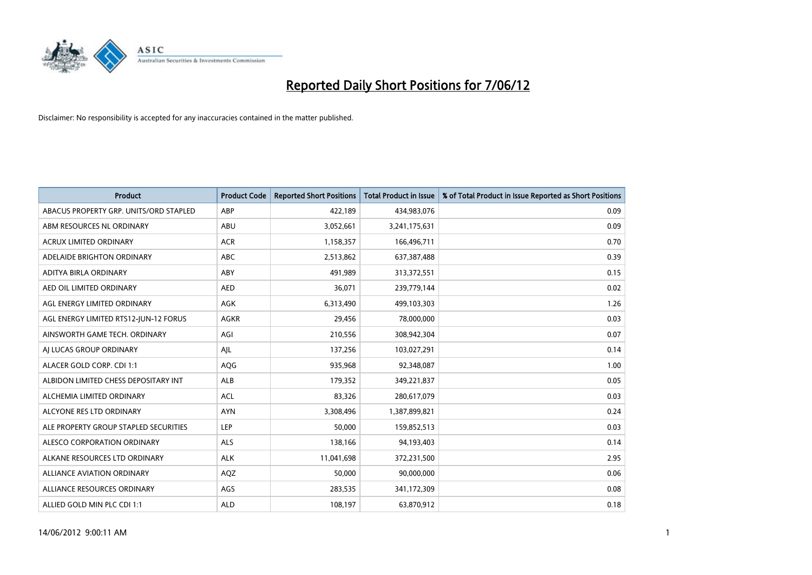

| <b>Product</b>                         | <b>Product Code</b> | <b>Reported Short Positions</b> | <b>Total Product in Issue</b> | % of Total Product in Issue Reported as Short Positions |
|----------------------------------------|---------------------|---------------------------------|-------------------------------|---------------------------------------------------------|
| ABACUS PROPERTY GRP. UNITS/ORD STAPLED | ABP                 | 422,189                         | 434,983,076                   | 0.09                                                    |
| ABM RESOURCES NL ORDINARY              | ABU                 | 3,052,661                       | 3,241,175,631                 | 0.09                                                    |
| <b>ACRUX LIMITED ORDINARY</b>          | <b>ACR</b>          | 1,158,357                       | 166,496,711                   | 0.70                                                    |
| ADELAIDE BRIGHTON ORDINARY             | <b>ABC</b>          | 2,513,862                       | 637,387,488                   | 0.39                                                    |
| ADITYA BIRLA ORDINARY                  | ABY                 | 491,989                         | 313,372,551                   | 0.15                                                    |
| AED OIL LIMITED ORDINARY               | <b>AED</b>          | 36,071                          | 239,779,144                   | 0.02                                                    |
| AGL ENERGY LIMITED ORDINARY            | AGK                 | 6,313,490                       | 499,103,303                   | 1.26                                                    |
| AGL ENERGY LIMITED RTS12-JUN-12 FORUS  | <b>AGKR</b>         | 29,456                          | 78,000,000                    | 0.03                                                    |
| AINSWORTH GAME TECH. ORDINARY          | AGI                 | 210,556                         | 308,942,304                   | 0.07                                                    |
| AI LUCAS GROUP ORDINARY                | AJL                 | 137,256                         | 103,027,291                   | 0.14                                                    |
| ALACER GOLD CORP. CDI 1:1              | AQG                 | 935,968                         | 92,348,087                    | 1.00                                                    |
| ALBIDON LIMITED CHESS DEPOSITARY INT   | ALB                 | 179,352                         | 349,221,837                   | 0.05                                                    |
| ALCHEMIA LIMITED ORDINARY              | <b>ACL</b>          | 83,326                          | 280,617,079                   | 0.03                                                    |
| ALCYONE RES LTD ORDINARY               | <b>AYN</b>          | 3,308,496                       | 1,387,899,821                 | 0.24                                                    |
| ALE PROPERTY GROUP STAPLED SECURITIES  | <b>LEP</b>          | 50,000                          | 159,852,513                   | 0.03                                                    |
| ALESCO CORPORATION ORDINARY            | ALS                 | 138,166                         | 94,193,403                    | 0.14                                                    |
| ALKANE RESOURCES LTD ORDINARY          | <b>ALK</b>          | 11,041,698                      | 372,231,500                   | 2.95                                                    |
| ALLIANCE AVIATION ORDINARY             | AQZ                 | 50,000                          | 90,000,000                    | 0.06                                                    |
| ALLIANCE RESOURCES ORDINARY            | AGS                 | 283,535                         | 341,172,309                   | 0.08                                                    |
| ALLIED GOLD MIN PLC CDI 1:1            | <b>ALD</b>          | 108,197                         | 63,870,912                    | 0.18                                                    |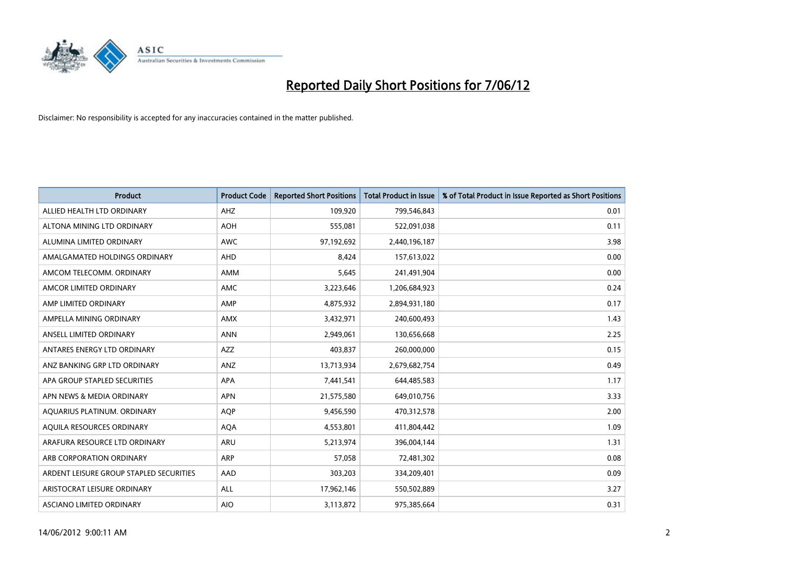

| <b>Product</b>                          | <b>Product Code</b> | <b>Reported Short Positions</b> | <b>Total Product in Issue</b> | % of Total Product in Issue Reported as Short Positions |
|-----------------------------------------|---------------------|---------------------------------|-------------------------------|---------------------------------------------------------|
| ALLIED HEALTH LTD ORDINARY              | AHZ                 | 109,920                         | 799,546,843                   | 0.01                                                    |
| ALTONA MINING LTD ORDINARY              | <b>AOH</b>          | 555,081                         | 522,091,038                   | 0.11                                                    |
| ALUMINA LIMITED ORDINARY                | <b>AWC</b>          | 97,192,692                      | 2,440,196,187                 | 3.98                                                    |
| AMALGAMATED HOLDINGS ORDINARY           | <b>AHD</b>          | 8,424                           | 157,613,022                   | 0.00                                                    |
| AMCOM TELECOMM, ORDINARY                | AMM                 | 5,645                           | 241,491,904                   | 0.00                                                    |
| AMCOR LIMITED ORDINARY                  | AMC                 | 3,223,646                       | 1,206,684,923                 | 0.24                                                    |
| AMP LIMITED ORDINARY                    | AMP                 | 4,875,932                       | 2,894,931,180                 | 0.17                                                    |
| AMPELLA MINING ORDINARY                 | <b>AMX</b>          | 3,432,971                       | 240,600,493                   | 1.43                                                    |
| ANSELL LIMITED ORDINARY                 | <b>ANN</b>          | 2,949,061                       | 130,656,668                   | 2.25                                                    |
| ANTARES ENERGY LTD ORDINARY             | <b>AZZ</b>          | 403,837                         | 260,000,000                   | 0.15                                                    |
| ANZ BANKING GRP LTD ORDINARY            | ANZ                 | 13,713,934                      | 2,679,682,754                 | 0.49                                                    |
| APA GROUP STAPLED SECURITIES            | APA                 | 7,441,541                       | 644,485,583                   | 1.17                                                    |
| APN NEWS & MEDIA ORDINARY               | <b>APN</b>          | 21,575,580                      | 649,010,756                   | 3.33                                                    |
| AQUARIUS PLATINUM. ORDINARY             | <b>AOP</b>          | 9,456,590                       | 470,312,578                   | 2.00                                                    |
| AQUILA RESOURCES ORDINARY               | <b>AQA</b>          | 4,553,801                       | 411,804,442                   | 1.09                                                    |
| ARAFURA RESOURCE LTD ORDINARY           | ARU                 | 5,213,974                       | 396,004,144                   | 1.31                                                    |
| ARB CORPORATION ORDINARY                | ARP                 | 57,058                          | 72,481,302                    | 0.08                                                    |
| ARDENT LEISURE GROUP STAPLED SECURITIES | AAD                 | 303,203                         | 334,209,401                   | 0.09                                                    |
| ARISTOCRAT LEISURE ORDINARY             | ALL                 | 17,962,146                      | 550,502,889                   | 3.27                                                    |
| ASCIANO LIMITED ORDINARY                | <b>AIO</b>          | 3,113,872                       | 975,385,664                   | 0.31                                                    |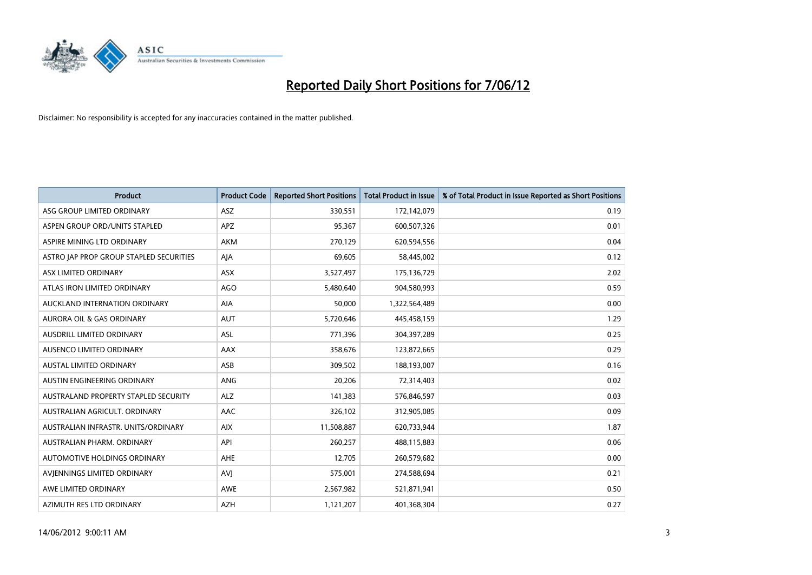

| <b>Product</b>                          | <b>Product Code</b> | <b>Reported Short Positions</b> | <b>Total Product in Issue</b> | % of Total Product in Issue Reported as Short Positions |
|-----------------------------------------|---------------------|---------------------------------|-------------------------------|---------------------------------------------------------|
| ASG GROUP LIMITED ORDINARY              | ASZ                 | 330,551                         | 172,142,079                   | 0.19                                                    |
| ASPEN GROUP ORD/UNITS STAPLED           | APZ                 | 95,367                          | 600,507,326                   | 0.01                                                    |
| ASPIRE MINING LTD ORDINARY              | AKM                 | 270,129                         | 620,594,556                   | 0.04                                                    |
| ASTRO JAP PROP GROUP STAPLED SECURITIES | AJA                 | 69,605                          | 58,445,002                    | 0.12                                                    |
| ASX LIMITED ORDINARY                    | ASX                 | 3,527,497                       | 175,136,729                   | 2.02                                                    |
| ATLAS IRON LIMITED ORDINARY             | <b>AGO</b>          | 5,480,640                       | 904,580,993                   | 0.59                                                    |
| AUCKLAND INTERNATION ORDINARY           | AIA                 | 50,000                          | 1,322,564,489                 | 0.00                                                    |
| AURORA OIL & GAS ORDINARY               | <b>AUT</b>          | 5,720,646                       | 445,458,159                   | 1.29                                                    |
| AUSDRILL LIMITED ORDINARY               | <b>ASL</b>          | 771,396                         | 304,397,289                   | 0.25                                                    |
| AUSENCO LIMITED ORDINARY                | AAX                 | 358,676                         | 123,872,665                   | 0.29                                                    |
| AUSTAL LIMITED ORDINARY                 | ASB                 | 309,502                         | 188,193,007                   | 0.16                                                    |
| AUSTIN ENGINEERING ORDINARY             | ANG                 | 20,206                          | 72,314,403                    | 0.02                                                    |
| AUSTRALAND PROPERTY STAPLED SECURITY    | <b>ALZ</b>          | 141,383                         | 576,846,597                   | 0.03                                                    |
| AUSTRALIAN AGRICULT, ORDINARY           | AAC                 | 326,102                         | 312,905,085                   | 0.09                                                    |
| AUSTRALIAN INFRASTR, UNITS/ORDINARY     | <b>AIX</b>          | 11,508,887                      | 620,733,944                   | 1.87                                                    |
| AUSTRALIAN PHARM. ORDINARY              | API                 | 260,257                         | 488,115,883                   | 0.06                                                    |
| AUTOMOTIVE HOLDINGS ORDINARY            | AHE                 | 12,705                          | 260,579,682                   | 0.00                                                    |
| AVIENNINGS LIMITED ORDINARY             | <b>AVJ</b>          | 575,001                         | 274,588,694                   | 0.21                                                    |
| AWE LIMITED ORDINARY                    | <b>AWE</b>          | 2,567,982                       | 521,871,941                   | 0.50                                                    |
| AZIMUTH RES LTD ORDINARY                | <b>AZH</b>          | 1,121,207                       | 401,368,304                   | 0.27                                                    |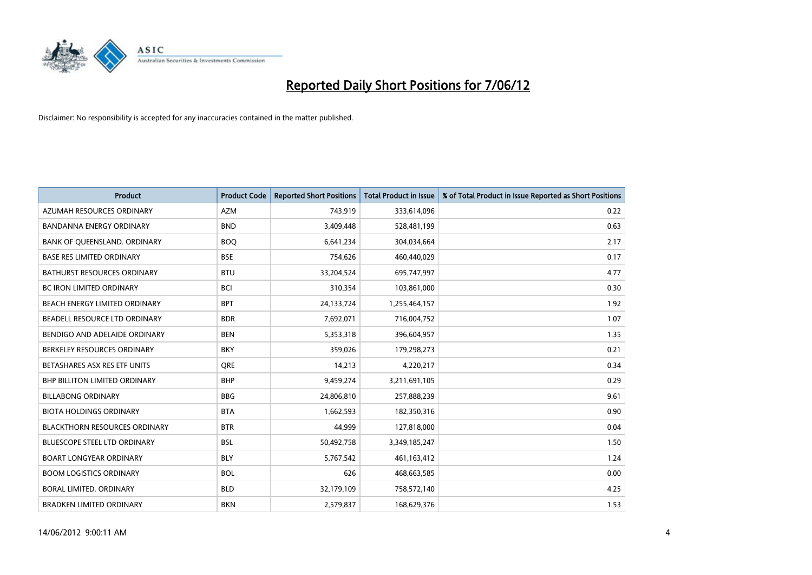

| <b>Product</b>                       | <b>Product Code</b> | <b>Reported Short Positions</b> | <b>Total Product in Issue</b> | % of Total Product in Issue Reported as Short Positions |
|--------------------------------------|---------------------|---------------------------------|-------------------------------|---------------------------------------------------------|
| AZUMAH RESOURCES ORDINARY            | <b>AZM</b>          | 743,919                         | 333,614,096                   | 0.22                                                    |
| BANDANNA ENERGY ORDINARY             | <b>BND</b>          | 3,409,448                       | 528,481,199                   | 0.63                                                    |
| BANK OF QUEENSLAND. ORDINARY         | <b>BOQ</b>          | 6,641,234                       | 304,034,664                   | 2.17                                                    |
| <b>BASE RES LIMITED ORDINARY</b>     | <b>BSE</b>          | 754,626                         | 460,440,029                   | 0.17                                                    |
| <b>BATHURST RESOURCES ORDINARY</b>   | <b>BTU</b>          | 33,204,524                      | 695,747,997                   | 4.77                                                    |
| <b>BC IRON LIMITED ORDINARY</b>      | <b>BCI</b>          | 310,354                         | 103,861,000                   | 0.30                                                    |
| BEACH ENERGY LIMITED ORDINARY        | <b>BPT</b>          | 24,133,724                      | 1,255,464,157                 | 1.92                                                    |
| BEADELL RESOURCE LTD ORDINARY        | <b>BDR</b>          | 7,692,071                       | 716,004,752                   | 1.07                                                    |
| BENDIGO AND ADELAIDE ORDINARY        | <b>BEN</b>          | 5,353,318                       | 396,604,957                   | 1.35                                                    |
| BERKELEY RESOURCES ORDINARY          | <b>BKY</b>          | 359,026                         | 179,298,273                   | 0.21                                                    |
| BETASHARES ASX RES ETF UNITS         | <b>ORE</b>          | 14,213                          | 4,220,217                     | 0.34                                                    |
| BHP BILLITON LIMITED ORDINARY        | <b>BHP</b>          | 9,459,274                       | 3,211,691,105                 | 0.29                                                    |
| <b>BILLABONG ORDINARY</b>            | <b>BBG</b>          | 24,806,810                      | 257,888,239                   | 9.61                                                    |
| <b>BIOTA HOLDINGS ORDINARY</b>       | <b>BTA</b>          | 1,662,593                       | 182,350,316                   | 0.90                                                    |
| <b>BLACKTHORN RESOURCES ORDINARY</b> | <b>BTR</b>          | 44,999                          | 127,818,000                   | 0.04                                                    |
| BLUESCOPE STEEL LTD ORDINARY         | <b>BSL</b>          | 50,492,758                      | 3,349,185,247                 | 1.50                                                    |
| <b>BOART LONGYEAR ORDINARY</b>       | <b>BLY</b>          | 5,767,542                       | 461,163,412                   | 1.24                                                    |
| <b>BOOM LOGISTICS ORDINARY</b>       | <b>BOL</b>          | 626                             | 468,663,585                   | 0.00                                                    |
| <b>BORAL LIMITED, ORDINARY</b>       | <b>BLD</b>          | 32,179,109                      | 758,572,140                   | 4.25                                                    |
| <b>BRADKEN LIMITED ORDINARY</b>      | <b>BKN</b>          | 2,579,837                       | 168,629,376                   | 1.53                                                    |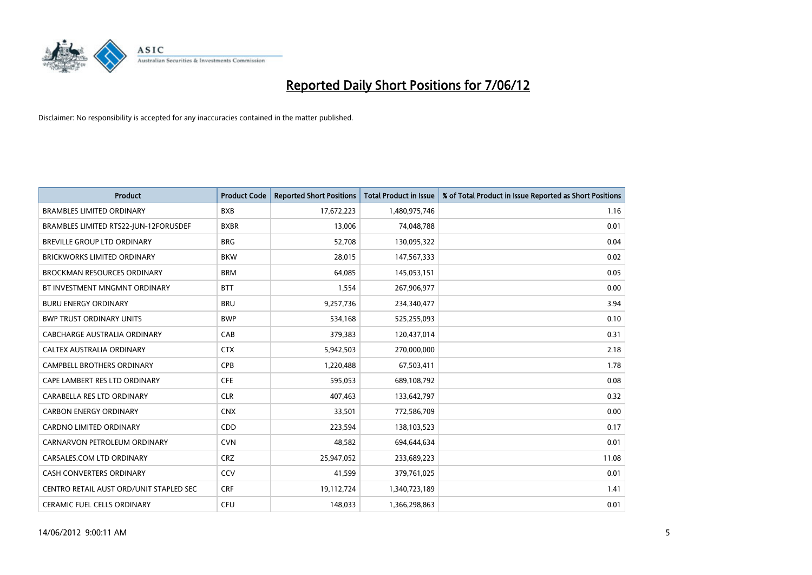

| <b>Product</b>                          | <b>Product Code</b> | <b>Reported Short Positions</b> | <b>Total Product in Issue</b> | % of Total Product in Issue Reported as Short Positions |
|-----------------------------------------|---------------------|---------------------------------|-------------------------------|---------------------------------------------------------|
| <b>BRAMBLES LIMITED ORDINARY</b>        | <b>BXB</b>          | 17,672,223                      | 1,480,975,746                 | 1.16                                                    |
| BRAMBLES LIMITED RTS22-JUN-12FORUSDEF   | <b>BXBR</b>         | 13,006                          | 74,048,788                    | 0.01                                                    |
| BREVILLE GROUP LTD ORDINARY             | <b>BRG</b>          | 52,708                          | 130,095,322                   | 0.04                                                    |
| <b>BRICKWORKS LIMITED ORDINARY</b>      | <b>BKW</b>          | 28,015                          | 147,567,333                   | 0.02                                                    |
| <b>BROCKMAN RESOURCES ORDINARY</b>      | <b>BRM</b>          | 64,085                          | 145,053,151                   | 0.05                                                    |
| BT INVESTMENT MNGMNT ORDINARY           | <b>BTT</b>          | 1,554                           | 267,906,977                   | 0.00                                                    |
| <b>BURU ENERGY ORDINARY</b>             | <b>BRU</b>          | 9,257,736                       | 234,340,477                   | 3.94                                                    |
| <b>BWP TRUST ORDINARY UNITS</b>         | <b>BWP</b>          | 534,168                         | 525,255,093                   | 0.10                                                    |
| CABCHARGE AUSTRALIA ORDINARY            | CAB                 | 379,383                         | 120,437,014                   | 0.31                                                    |
| CALTEX AUSTRALIA ORDINARY               | <b>CTX</b>          | 5,942,503                       | 270,000,000                   | 2.18                                                    |
| CAMPBELL BROTHERS ORDINARY              | <b>CPB</b>          | 1,220,488                       | 67,503,411                    | 1.78                                                    |
| CAPE LAMBERT RES LTD ORDINARY           | <b>CFE</b>          | 595,053                         | 689,108,792                   | 0.08                                                    |
| CARABELLA RES LTD ORDINARY              | <b>CLR</b>          | 407,463                         | 133,642,797                   | 0.32                                                    |
| <b>CARBON ENERGY ORDINARY</b>           | <b>CNX</b>          | 33,501                          | 772,586,709                   | 0.00                                                    |
| <b>CARDNO LIMITED ORDINARY</b>          | CDD                 | 223,594                         | 138,103,523                   | 0.17                                                    |
| CARNARVON PETROLEUM ORDINARY            | <b>CVN</b>          | 48,582                          | 694,644,634                   | 0.01                                                    |
| CARSALES.COM LTD ORDINARY               | <b>CRZ</b>          | 25,947,052                      | 233,689,223                   | 11.08                                                   |
| CASH CONVERTERS ORDINARY                | CCV                 | 41,599                          | 379,761,025                   | 0.01                                                    |
| CENTRO RETAIL AUST ORD/UNIT STAPLED SEC | <b>CRF</b>          | 19,112,724                      | 1,340,723,189                 | 1.41                                                    |
| CERAMIC FUEL CELLS ORDINARY             | <b>CFU</b>          | 148,033                         | 1,366,298,863                 | 0.01                                                    |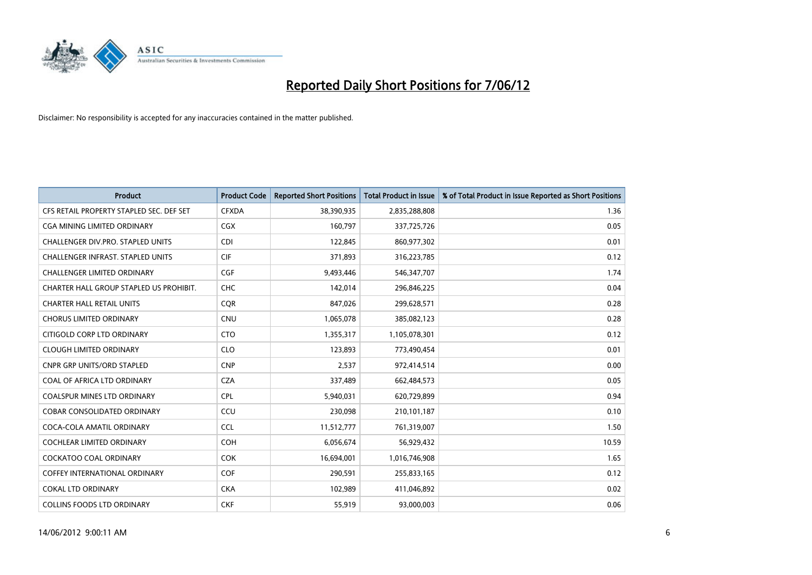

| <b>Product</b>                           | <b>Product Code</b> | <b>Reported Short Positions</b> | <b>Total Product in Issue</b> | % of Total Product in Issue Reported as Short Positions |
|------------------------------------------|---------------------|---------------------------------|-------------------------------|---------------------------------------------------------|
| CFS RETAIL PROPERTY STAPLED SEC. DEF SET | <b>CFXDA</b>        | 38,390,935                      | 2,835,288,808                 | 1.36                                                    |
| CGA MINING LIMITED ORDINARY              | <b>CGX</b>          | 160,797                         | 337,725,726                   | 0.05                                                    |
| CHALLENGER DIV.PRO. STAPLED UNITS        | <b>CDI</b>          | 122,845                         | 860,977,302                   | 0.01                                                    |
| CHALLENGER INFRAST. STAPLED UNITS        | <b>CIF</b>          | 371,893                         | 316,223,785                   | 0.12                                                    |
| <b>CHALLENGER LIMITED ORDINARY</b>       | <b>CGF</b>          | 9,493,446                       | 546, 347, 707                 | 1.74                                                    |
| CHARTER HALL GROUP STAPLED US PROHIBIT.  | CHC                 | 142,014                         | 296,846,225                   | 0.04                                                    |
| <b>CHARTER HALL RETAIL UNITS</b>         | <b>COR</b>          | 847,026                         | 299,628,571                   | 0.28                                                    |
| <b>CHORUS LIMITED ORDINARY</b>           | <b>CNU</b>          | 1,065,078                       | 385,082,123                   | 0.28                                                    |
| CITIGOLD CORP LTD ORDINARY               | <b>CTO</b>          | 1,355,317                       | 1,105,078,301                 | 0.12                                                    |
| <b>CLOUGH LIMITED ORDINARY</b>           | <b>CLO</b>          | 123,893                         | 773,490,454                   | 0.01                                                    |
| CNPR GRP UNITS/ORD STAPLED               | <b>CNP</b>          | 2,537                           | 972,414,514                   | 0.00                                                    |
| COAL OF AFRICA LTD ORDINARY              | <b>CZA</b>          | 337,489                         | 662,484,573                   | 0.05                                                    |
| COALSPUR MINES LTD ORDINARY              | <b>CPL</b>          | 5,940,031                       | 620,729,899                   | 0.94                                                    |
| <b>COBAR CONSOLIDATED ORDINARY</b>       | CCU                 | 230,098                         | 210,101,187                   | 0.10                                                    |
| COCA-COLA AMATIL ORDINARY                | <b>CCL</b>          | 11,512,777                      | 761,319,007                   | 1.50                                                    |
| COCHLEAR LIMITED ORDINARY                | <b>COH</b>          | 6,056,674                       | 56,929,432                    | 10.59                                                   |
| <b>COCKATOO COAL ORDINARY</b>            | <b>COK</b>          | 16,694,001                      | 1,016,746,908                 | 1.65                                                    |
| <b>COFFEY INTERNATIONAL ORDINARY</b>     | <b>COF</b>          | 290,591                         | 255,833,165                   | 0.12                                                    |
| COKAL LTD ORDINARY                       | <b>CKA</b>          | 102,989                         | 411,046,892                   | 0.02                                                    |
| <b>COLLINS FOODS LTD ORDINARY</b>        | <b>CKF</b>          | 55,919                          | 93,000,003                    | 0.06                                                    |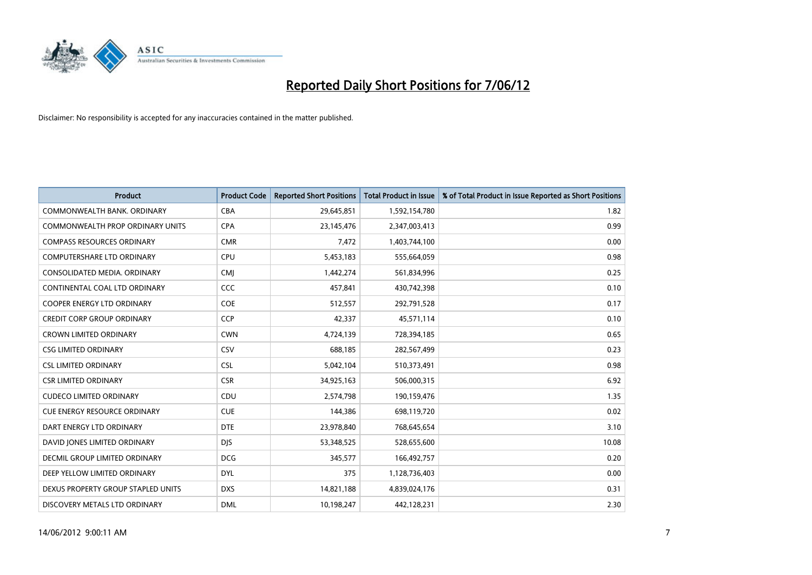

| <b>Product</b>                          | <b>Product Code</b> | <b>Reported Short Positions</b> | <b>Total Product in Issue</b> | % of Total Product in Issue Reported as Short Positions |
|-----------------------------------------|---------------------|---------------------------------|-------------------------------|---------------------------------------------------------|
| COMMONWEALTH BANK, ORDINARY             | <b>CBA</b>          | 29,645,851                      | 1,592,154,780                 | 1.82                                                    |
| <b>COMMONWEALTH PROP ORDINARY UNITS</b> | <b>CPA</b>          | 23,145,476                      | 2,347,003,413                 | 0.99                                                    |
| <b>COMPASS RESOURCES ORDINARY</b>       | <b>CMR</b>          | 7,472                           | 1,403,744,100                 | 0.00                                                    |
| <b>COMPUTERSHARE LTD ORDINARY</b>       | <b>CPU</b>          | 5,453,183                       | 555,664,059                   | 0.98                                                    |
| CONSOLIDATED MEDIA, ORDINARY            | <b>CMI</b>          | 1,442,274                       | 561,834,996                   | 0.25                                                    |
| CONTINENTAL COAL LTD ORDINARY           | CCC                 | 457,841                         | 430,742,398                   | 0.10                                                    |
| <b>COOPER ENERGY LTD ORDINARY</b>       | <b>COE</b>          | 512,557                         | 292,791,528                   | 0.17                                                    |
| <b>CREDIT CORP GROUP ORDINARY</b>       | <b>CCP</b>          | 42,337                          | 45,571,114                    | 0.10                                                    |
| <b>CROWN LIMITED ORDINARY</b>           | <b>CWN</b>          | 4,724,139                       | 728,394,185                   | 0.65                                                    |
| <b>CSG LIMITED ORDINARY</b>             | CSV                 | 688,185                         | 282,567,499                   | 0.23                                                    |
| <b>CSL LIMITED ORDINARY</b>             | <b>CSL</b>          | 5,042,104                       | 510,373,491                   | 0.98                                                    |
| <b>CSR LIMITED ORDINARY</b>             | <b>CSR</b>          | 34,925,163                      | 506,000,315                   | 6.92                                                    |
| <b>CUDECO LIMITED ORDINARY</b>          | CDU                 | 2,574,798                       | 190,159,476                   | 1.35                                                    |
| <b>CUE ENERGY RESOURCE ORDINARY</b>     | <b>CUE</b>          | 144,386                         | 698,119,720                   | 0.02                                                    |
| DART ENERGY LTD ORDINARY                | <b>DTE</b>          | 23,978,840                      | 768,645,654                   | 3.10                                                    |
| DAVID JONES LIMITED ORDINARY            | <b>DJS</b>          | 53,348,525                      | 528,655,600                   | 10.08                                                   |
| <b>DECMIL GROUP LIMITED ORDINARY</b>    | <b>DCG</b>          | 345,577                         | 166,492,757                   | 0.20                                                    |
| DEEP YELLOW LIMITED ORDINARY            | <b>DYL</b>          | 375                             | 1,128,736,403                 | 0.00                                                    |
| DEXUS PROPERTY GROUP STAPLED UNITS      | <b>DXS</b>          | 14,821,188                      | 4,839,024,176                 | 0.31                                                    |
| DISCOVERY METALS LTD ORDINARY           | <b>DML</b>          | 10,198,247                      | 442,128,231                   | 2.30                                                    |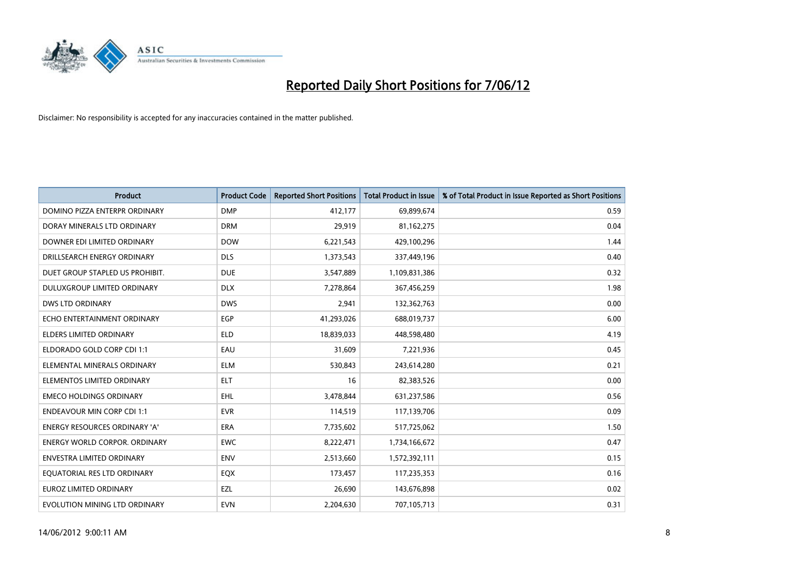

| <b>Product</b>                       | <b>Product Code</b> | <b>Reported Short Positions</b> | <b>Total Product in Issue</b> | % of Total Product in Issue Reported as Short Positions |
|--------------------------------------|---------------------|---------------------------------|-------------------------------|---------------------------------------------------------|
| DOMINO PIZZA ENTERPR ORDINARY        | <b>DMP</b>          | 412,177                         | 69,899,674                    | 0.59                                                    |
| DORAY MINERALS LTD ORDINARY          | <b>DRM</b>          | 29,919                          | 81,162,275                    | 0.04                                                    |
| DOWNER EDI LIMITED ORDINARY          | <b>DOW</b>          | 6,221,543                       | 429,100,296                   | 1.44                                                    |
| DRILLSEARCH ENERGY ORDINARY          | <b>DLS</b>          | 1,373,543                       | 337,449,196                   | 0.40                                                    |
| DUET GROUP STAPLED US PROHIBIT.      | <b>DUE</b>          | 3,547,889                       | 1,109,831,386                 | 0.32                                                    |
| DULUXGROUP LIMITED ORDINARY          | <b>DLX</b>          | 7,278,864                       | 367,456,259                   | 1.98                                                    |
| <b>DWS LTD ORDINARY</b>              | <b>DWS</b>          | 2,941                           | 132,362,763                   | 0.00                                                    |
| ECHO ENTERTAINMENT ORDINARY          | <b>EGP</b>          | 41,293,026                      | 688,019,737                   | 6.00                                                    |
| <b>ELDERS LIMITED ORDINARY</b>       | <b>ELD</b>          | 18,839,033                      | 448,598,480                   | 4.19                                                    |
| ELDORADO GOLD CORP CDI 1:1           | EAU                 | 31,609                          | 7,221,936                     | 0.45                                                    |
| ELEMENTAL MINERALS ORDINARY          | <b>ELM</b>          | 530,843                         | 243,614,280                   | 0.21                                                    |
| ELEMENTOS LIMITED ORDINARY           | <b>ELT</b>          | 16                              | 82,383,526                    | 0.00                                                    |
| <b>EMECO HOLDINGS ORDINARY</b>       | <b>EHL</b>          | 3,478,844                       | 631,237,586                   | 0.56                                                    |
| <b>ENDEAVOUR MIN CORP CDI 1:1</b>    | <b>EVR</b>          | 114,519                         | 117,139,706                   | 0.09                                                    |
| <b>ENERGY RESOURCES ORDINARY 'A'</b> | <b>ERA</b>          | 7,735,602                       | 517,725,062                   | 1.50                                                    |
| <b>ENERGY WORLD CORPOR. ORDINARY</b> | <b>EWC</b>          | 8,222,471                       | 1,734,166,672                 | 0.47                                                    |
| ENVESTRA LIMITED ORDINARY            | <b>ENV</b>          | 2,513,660                       | 1,572,392,111                 | 0.15                                                    |
| EQUATORIAL RES LTD ORDINARY          | EQX                 | 173,457                         | 117,235,353                   | 0.16                                                    |
| <b>EUROZ LIMITED ORDINARY</b>        | EZL                 | 26,690                          | 143,676,898                   | 0.02                                                    |
| EVOLUTION MINING LTD ORDINARY        | <b>EVN</b>          | 2,204,630                       | 707,105,713                   | 0.31                                                    |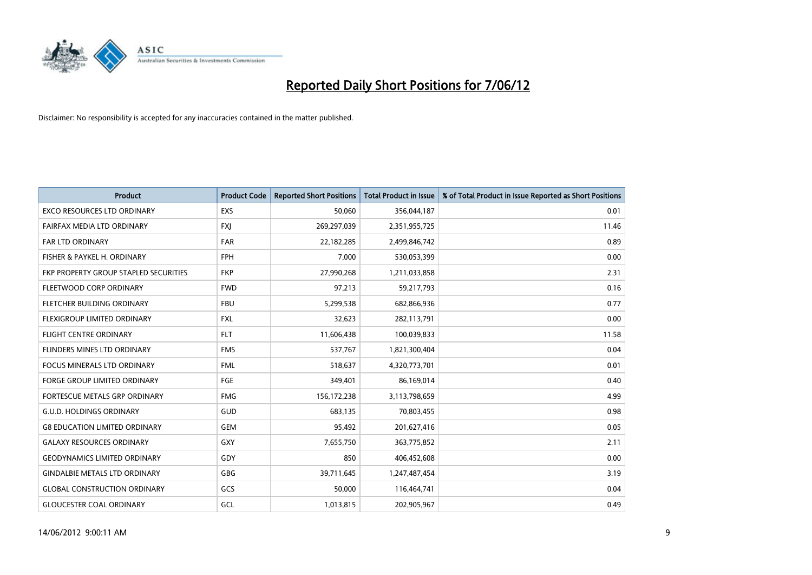

| <b>Product</b>                        | <b>Product Code</b> | <b>Reported Short Positions</b> | <b>Total Product in Issue</b> | % of Total Product in Issue Reported as Short Positions |
|---------------------------------------|---------------------|---------------------------------|-------------------------------|---------------------------------------------------------|
| <b>EXCO RESOURCES LTD ORDINARY</b>    | <b>EXS</b>          | 50,060                          | 356,044,187                   | 0.01                                                    |
| FAIRFAX MEDIA LTD ORDINARY            | <b>FXI</b>          | 269,297,039                     | 2,351,955,725                 | 11.46                                                   |
| <b>FAR LTD ORDINARY</b>               | <b>FAR</b>          | 22,182,285                      | 2,499,846,742                 | 0.89                                                    |
| FISHER & PAYKEL H. ORDINARY           | <b>FPH</b>          | 7,000                           | 530,053,399                   | 0.00                                                    |
| FKP PROPERTY GROUP STAPLED SECURITIES | <b>FKP</b>          | 27,990,268                      | 1,211,033,858                 | 2.31                                                    |
| FLEETWOOD CORP ORDINARY               | <b>FWD</b>          | 97,213                          | 59,217,793                    | 0.16                                                    |
| FLETCHER BUILDING ORDINARY            | <b>FBU</b>          | 5,299,538                       | 682,866,936                   | 0.77                                                    |
| FLEXIGROUP LIMITED ORDINARY           | <b>FXL</b>          | 32,623                          | 282,113,791                   | 0.00                                                    |
| <b>FLIGHT CENTRE ORDINARY</b>         | <b>FLT</b>          | 11,606,438                      | 100,039,833                   | 11.58                                                   |
| FLINDERS MINES LTD ORDINARY           | <b>FMS</b>          | 537,767                         | 1,821,300,404                 | 0.04                                                    |
| <b>FOCUS MINERALS LTD ORDINARY</b>    | <b>FML</b>          | 518,637                         | 4,320,773,701                 | 0.01                                                    |
| <b>FORGE GROUP LIMITED ORDINARY</b>   | FGE                 | 349,401                         | 86,169,014                    | 0.40                                                    |
| FORTESCUE METALS GRP ORDINARY         | <b>FMG</b>          | 156,172,238                     | 3,113,798,659                 | 4.99                                                    |
| <b>G.U.D. HOLDINGS ORDINARY</b>       | GUD                 | 683.135                         | 70,803,455                    | 0.98                                                    |
| <b>G8 EDUCATION LIMITED ORDINARY</b>  | <b>GEM</b>          | 95,492                          | 201,627,416                   | 0.05                                                    |
| <b>GALAXY RESOURCES ORDINARY</b>      | GXY                 | 7,655,750                       | 363,775,852                   | 2.11                                                    |
| <b>GEODYNAMICS LIMITED ORDINARY</b>   | GDY                 | 850                             | 406,452,608                   | 0.00                                                    |
| <b>GINDALBIE METALS LTD ORDINARY</b>  | GBG                 | 39,711,645                      | 1,247,487,454                 | 3.19                                                    |
| <b>GLOBAL CONSTRUCTION ORDINARY</b>   | GCS                 | 50,000                          | 116,464,741                   | 0.04                                                    |
| <b>GLOUCESTER COAL ORDINARY</b>       | GCL                 | 1,013,815                       | 202,905,967                   | 0.49                                                    |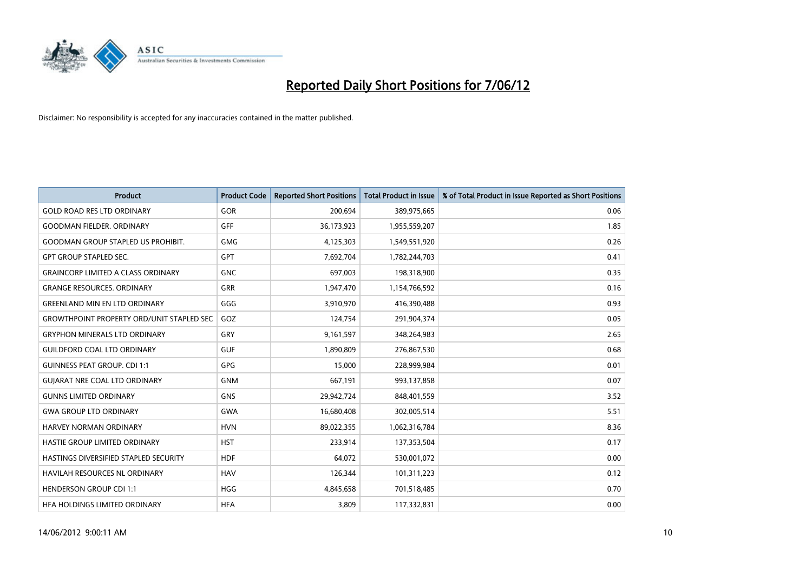

| <b>Product</b>                                   | <b>Product Code</b> | <b>Reported Short Positions</b> | <b>Total Product in Issue</b> | % of Total Product in Issue Reported as Short Positions |
|--------------------------------------------------|---------------------|---------------------------------|-------------------------------|---------------------------------------------------------|
| <b>GOLD ROAD RES LTD ORDINARY</b>                | <b>GOR</b>          | 200,694                         | 389,975,665                   | 0.06                                                    |
| <b>GOODMAN FIELDER, ORDINARY</b>                 | GFF                 | 36,173,923                      | 1,955,559,207                 | 1.85                                                    |
| <b>GOODMAN GROUP STAPLED US PROHIBIT.</b>        | <b>GMG</b>          | 4,125,303                       | 1,549,551,920                 | 0.26                                                    |
| <b>GPT GROUP STAPLED SEC.</b>                    | GPT                 | 7,692,704                       | 1,782,244,703                 | 0.41                                                    |
| <b>GRAINCORP LIMITED A CLASS ORDINARY</b>        | <b>GNC</b>          | 697,003                         | 198,318,900                   | 0.35                                                    |
| <b>GRANGE RESOURCES, ORDINARY</b>                | <b>GRR</b>          | 1,947,470                       | 1,154,766,592                 | 0.16                                                    |
| <b>GREENLAND MIN EN LTD ORDINARY</b>             | GGG                 | 3,910,970                       | 416,390,488                   | 0.93                                                    |
| <b>GROWTHPOINT PROPERTY ORD/UNIT STAPLED SEC</b> | GOZ                 | 124,754                         | 291,904,374                   | 0.05                                                    |
| <b>GRYPHON MINERALS LTD ORDINARY</b>             | GRY                 | 9,161,597                       | 348,264,983                   | 2.65                                                    |
| <b>GUILDFORD COAL LTD ORDINARY</b>               | <b>GUF</b>          | 1,890,809                       | 276,867,530                   | 0.68                                                    |
| <b>GUINNESS PEAT GROUP. CDI 1:1</b>              | <b>GPG</b>          | 15,000                          | 228,999,984                   | 0.01                                                    |
| <b>GUIARAT NRE COAL LTD ORDINARY</b>             | <b>GNM</b>          | 667,191                         | 993,137,858                   | 0.07                                                    |
| <b>GUNNS LIMITED ORDINARY</b>                    | <b>GNS</b>          | 29,942,724                      | 848,401,559                   | 3.52                                                    |
| <b>GWA GROUP LTD ORDINARY</b>                    | GWA                 | 16,680,408                      | 302,005,514                   | 5.51                                                    |
| HARVEY NORMAN ORDINARY                           | <b>HVN</b>          | 89,022,355                      | 1,062,316,784                 | 8.36                                                    |
| HASTIE GROUP LIMITED ORDINARY                    | <b>HST</b>          | 233,914                         | 137,353,504                   | 0.17                                                    |
| HASTINGS DIVERSIFIED STAPLED SECURITY            | <b>HDF</b>          | 64,072                          | 530,001,072                   | 0.00                                                    |
| HAVILAH RESOURCES NL ORDINARY                    | <b>HAV</b>          | 126,344                         | 101,311,223                   | 0.12                                                    |
| <b>HENDERSON GROUP CDI 1:1</b>                   | <b>HGG</b>          | 4,845,658                       | 701,518,485                   | 0.70                                                    |
| HFA HOLDINGS LIMITED ORDINARY                    | <b>HFA</b>          | 3,809                           | 117,332,831                   | 0.00                                                    |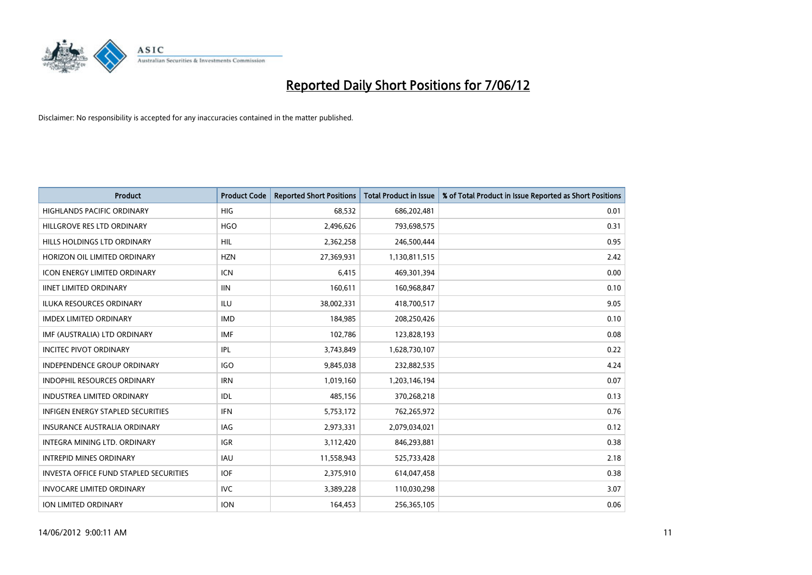

| <b>Product</b>                                | <b>Product Code</b> | <b>Reported Short Positions</b> | <b>Total Product in Issue</b> | % of Total Product in Issue Reported as Short Positions |
|-----------------------------------------------|---------------------|---------------------------------|-------------------------------|---------------------------------------------------------|
| <b>HIGHLANDS PACIFIC ORDINARY</b>             | <b>HIG</b>          | 68,532                          | 686,202,481                   | 0.01                                                    |
| HILLGROVE RES LTD ORDINARY                    | <b>HGO</b>          | 2,496,626                       | 793,698,575                   | 0.31                                                    |
| HILLS HOLDINGS LTD ORDINARY                   | <b>HIL</b>          | 2,362,258                       | 246,500,444                   | 0.95                                                    |
| HORIZON OIL LIMITED ORDINARY                  | <b>HZN</b>          | 27,369,931                      | 1,130,811,515                 | 2.42                                                    |
| <b>ICON ENERGY LIMITED ORDINARY</b>           | ICN                 | 6,415                           | 469,301,394                   | 0.00                                                    |
| <b>IINET LIMITED ORDINARY</b>                 | <b>IIN</b>          | 160,611                         | 160,968,847                   | 0.10                                                    |
| ILUKA RESOURCES ORDINARY                      | ILU                 | 38,002,331                      | 418,700,517                   | 9.05                                                    |
| <b>IMDEX LIMITED ORDINARY</b>                 | <b>IMD</b>          | 184,985                         | 208,250,426                   | 0.10                                                    |
| IMF (AUSTRALIA) LTD ORDINARY                  | <b>IMF</b>          | 102,786                         | 123,828,193                   | 0.08                                                    |
| <b>INCITEC PIVOT ORDINARY</b>                 | IPL                 | 3,743,849                       | 1,628,730,107                 | 0.22                                                    |
| INDEPENDENCE GROUP ORDINARY                   | <b>IGO</b>          | 9,845,038                       | 232,882,535                   | 4.24                                                    |
| <b>INDOPHIL RESOURCES ORDINARY</b>            | <b>IRN</b>          | 1,019,160                       | 1,203,146,194                 | 0.07                                                    |
| <b>INDUSTREA LIMITED ORDINARY</b>             | IDL                 | 485,156                         | 370,268,218                   | 0.13                                                    |
| <b>INFIGEN ENERGY STAPLED SECURITIES</b>      | <b>IFN</b>          | 5,753,172                       | 762,265,972                   | 0.76                                                    |
| <b>INSURANCE AUSTRALIA ORDINARY</b>           | IAG                 | 2,973,331                       | 2,079,034,021                 | 0.12                                                    |
| INTEGRA MINING LTD, ORDINARY                  | IGR                 | 3,112,420                       | 846,293,881                   | 0.38                                                    |
| <b>INTREPID MINES ORDINARY</b>                | <b>IAU</b>          | 11,558,943                      | 525,733,428                   | 2.18                                                    |
| <b>INVESTA OFFICE FUND STAPLED SECURITIES</b> | <b>IOF</b>          | 2,375,910                       | 614,047,458                   | 0.38                                                    |
| <b>INVOCARE LIMITED ORDINARY</b>              | <b>IVC</b>          | 3,389,228                       | 110,030,298                   | 3.07                                                    |
| ION LIMITED ORDINARY                          | <b>ION</b>          | 164,453                         | 256,365,105                   | 0.06                                                    |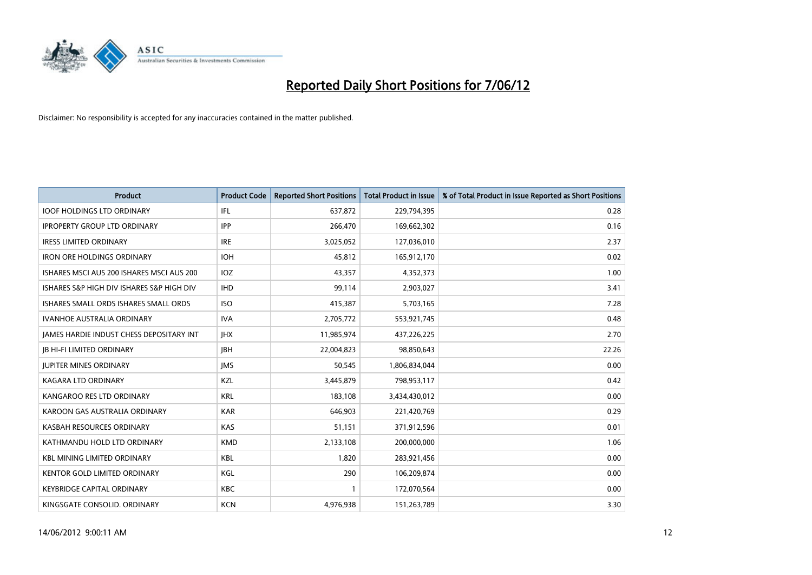

| <b>Product</b>                            | <b>Product Code</b> | <b>Reported Short Positions</b> | <b>Total Product in Issue</b> | % of Total Product in Issue Reported as Short Positions |
|-------------------------------------------|---------------------|---------------------------------|-------------------------------|---------------------------------------------------------|
| <b>IOOF HOLDINGS LTD ORDINARY</b>         | IFL                 | 637,872                         | 229,794,395                   | 0.28                                                    |
| <b>IPROPERTY GROUP LTD ORDINARY</b>       | <b>IPP</b>          | 266,470                         | 169,662,302                   | 0.16                                                    |
| <b>IRESS LIMITED ORDINARY</b>             | <b>IRE</b>          | 3,025,052                       | 127,036,010                   | 2.37                                                    |
| <b>IRON ORE HOLDINGS ORDINARY</b>         | <b>IOH</b>          | 45,812                          | 165,912,170                   | 0.02                                                    |
| ISHARES MSCI AUS 200 ISHARES MSCI AUS 200 | IOZ                 | 43,357                          | 4,352,373                     | 1.00                                                    |
| ISHARES S&P HIGH DIV ISHARES S&P HIGH DIV | <b>IHD</b>          | 99,114                          | 2,903,027                     | 3.41                                                    |
| ISHARES SMALL ORDS ISHARES SMALL ORDS     | <b>ISO</b>          | 415,387                         | 5,703,165                     | 7.28                                                    |
| <b>IVANHOE AUSTRALIA ORDINARY</b>         | <b>IVA</b>          | 2,705,772                       | 553,921,745                   | 0.48                                                    |
| JAMES HARDIE INDUST CHESS DEPOSITARY INT  | <b>IHX</b>          | 11,985,974                      | 437,226,225                   | 2.70                                                    |
| <b>JB HI-FI LIMITED ORDINARY</b>          | <b>JBH</b>          | 22,004,823                      | 98,850,643                    | 22.26                                                   |
| <b>JUPITER MINES ORDINARY</b>             | <b>IMS</b>          | 50,545                          | 1,806,834,044                 | 0.00                                                    |
| <b>KAGARA LTD ORDINARY</b>                | KZL                 | 3,445,879                       | 798,953,117                   | 0.42                                                    |
| KANGAROO RES LTD ORDINARY                 | <b>KRL</b>          | 183,108                         | 3,434,430,012                 | 0.00                                                    |
| KAROON GAS AUSTRALIA ORDINARY             | <b>KAR</b>          | 646,903                         | 221,420,769                   | 0.29                                                    |
| KASBAH RESOURCES ORDINARY                 | <b>KAS</b>          | 51,151                          | 371,912,596                   | 0.01                                                    |
| KATHMANDU HOLD LTD ORDINARY               | <b>KMD</b>          | 2,133,108                       | 200,000,000                   | 1.06                                                    |
| <b>KBL MINING LIMITED ORDINARY</b>        | <b>KBL</b>          | 1,820                           | 283,921,456                   | 0.00                                                    |
| <b>KENTOR GOLD LIMITED ORDINARY</b>       | KGL                 | 290                             | 106,209,874                   | 0.00                                                    |
| <b>KEYBRIDGE CAPITAL ORDINARY</b>         | <b>KBC</b>          | 1                               | 172,070,564                   | 0.00                                                    |
| KINGSGATE CONSOLID. ORDINARY              | <b>KCN</b>          | 4,976,938                       | 151,263,789                   | 3.30                                                    |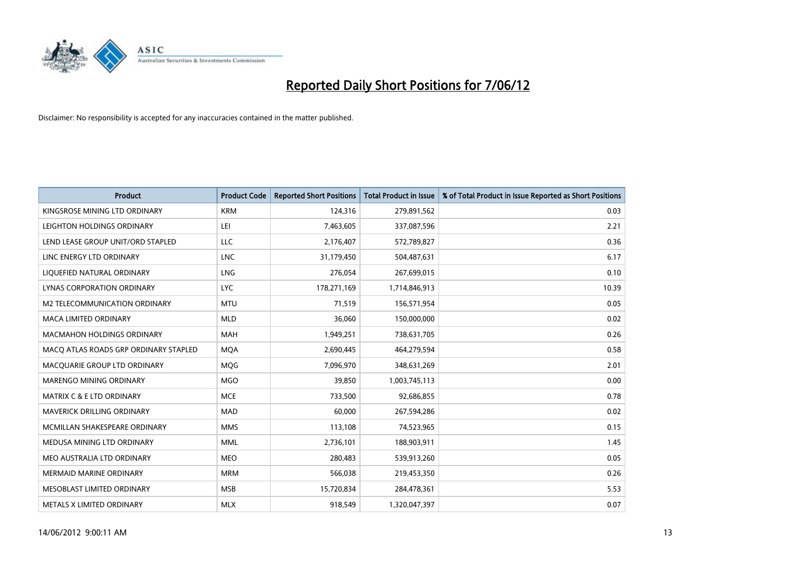

| <b>Product</b>                        | <b>Product Code</b> | <b>Reported Short Positions</b> | <b>Total Product in Issue</b> | % of Total Product in Issue Reported as Short Positions |
|---------------------------------------|---------------------|---------------------------------|-------------------------------|---------------------------------------------------------|
| KINGSROSE MINING LTD ORDINARY         | <b>KRM</b>          | 124,316                         | 279,891,562                   | 0.03                                                    |
| LEIGHTON HOLDINGS ORDINARY            | LEI                 | 7,463,605                       | 337,087,596                   | 2.21                                                    |
| LEND LEASE GROUP UNIT/ORD STAPLED     | LLC                 | 2,176,407                       | 572,789,827                   | 0.36                                                    |
| LINC ENERGY LTD ORDINARY              | <b>LNC</b>          | 31,179,450                      | 504,487,631                   | 6.17                                                    |
| LIQUEFIED NATURAL ORDINARY            | LNG                 | 276,054                         | 267,699,015                   | 0.10                                                    |
| LYNAS CORPORATION ORDINARY            | <b>LYC</b>          | 178,271,169                     | 1,714,846,913                 | 10.39                                                   |
| M2 TELECOMMUNICATION ORDINARY         | <b>MTU</b>          | 71,519                          | 156,571,954                   | 0.05                                                    |
| MACA LIMITED ORDINARY                 | <b>MLD</b>          | 36,060                          | 150,000,000                   | 0.02                                                    |
| <b>MACMAHON HOLDINGS ORDINARY</b>     | <b>MAH</b>          | 1,949,251                       | 738,631,705                   | 0.26                                                    |
| MACO ATLAS ROADS GRP ORDINARY STAPLED | <b>MQA</b>          | 2,690,445                       | 464,279,594                   | 0.58                                                    |
| MACQUARIE GROUP LTD ORDINARY          | <b>MQG</b>          | 7,096,970                       | 348,631,269                   | 2.01                                                    |
| MARENGO MINING ORDINARY               | <b>MGO</b>          | 39,850                          | 1,003,745,113                 | 0.00                                                    |
| <b>MATRIX C &amp; E LTD ORDINARY</b>  | <b>MCE</b>          | 733,500                         | 92,686,855                    | 0.78                                                    |
| MAVERICK DRILLING ORDINARY            | <b>MAD</b>          | 60,000                          | 267,594,286                   | 0.02                                                    |
| MCMILLAN SHAKESPEARE ORDINARY         | <b>MMS</b>          | 113,108                         | 74,523,965                    | 0.15                                                    |
| MEDUSA MINING LTD ORDINARY            | <b>MML</b>          | 2,736,101                       | 188,903,911                   | 1.45                                                    |
| MEO AUSTRALIA LTD ORDINARY            | <b>MEO</b>          | 280,483                         | 539,913,260                   | 0.05                                                    |
| <b>MERMAID MARINE ORDINARY</b>        | <b>MRM</b>          | 566,038                         | 219,453,350                   | 0.26                                                    |
| MESOBLAST LIMITED ORDINARY            | <b>MSB</b>          | 15,720,834                      | 284,478,361                   | 5.53                                                    |
| METALS X LIMITED ORDINARY             | <b>MLX</b>          | 918,549                         | 1,320,047,397                 | 0.07                                                    |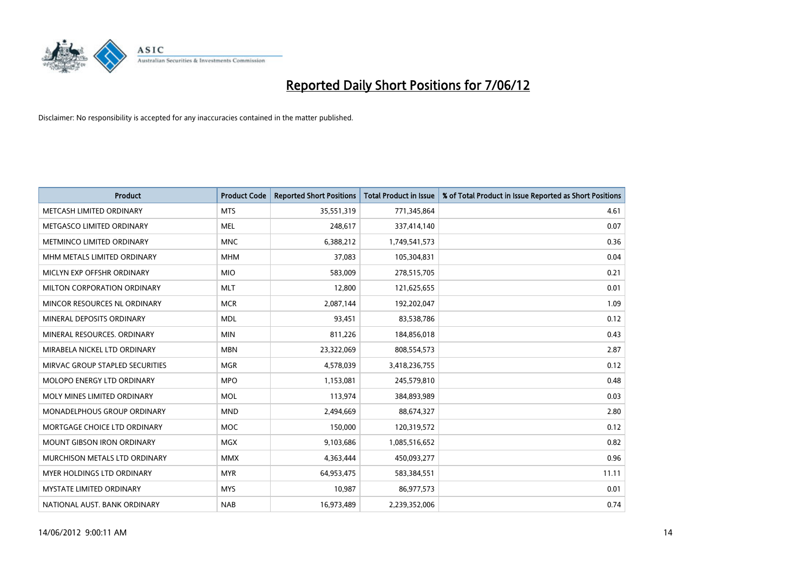

| <b>Product</b>                    | <b>Product Code</b> | <b>Reported Short Positions</b> | <b>Total Product in Issue</b> | % of Total Product in Issue Reported as Short Positions |
|-----------------------------------|---------------------|---------------------------------|-------------------------------|---------------------------------------------------------|
| METCASH LIMITED ORDINARY          | <b>MTS</b>          | 35,551,319                      | 771,345,864                   | 4.61                                                    |
| METGASCO LIMITED ORDINARY         | MEL                 | 248,617                         | 337,414,140                   | 0.07                                                    |
| METMINCO LIMITED ORDINARY         | <b>MNC</b>          | 6,388,212                       | 1,749,541,573                 | 0.36                                                    |
| MHM METALS LIMITED ORDINARY       | <b>MHM</b>          | 37,083                          | 105,304,831                   | 0.04                                                    |
| MICLYN EXP OFFSHR ORDINARY        | <b>MIO</b>          | 583,009                         | 278,515,705                   | 0.21                                                    |
| MILTON CORPORATION ORDINARY       | <b>MLT</b>          | 12,800                          | 121,625,655                   | 0.01                                                    |
| MINCOR RESOURCES NL ORDINARY      | <b>MCR</b>          | 2,087,144                       | 192,202,047                   | 1.09                                                    |
| MINERAL DEPOSITS ORDINARY         | <b>MDL</b>          | 93,451                          | 83,538,786                    | 0.12                                                    |
| MINERAL RESOURCES, ORDINARY       | <b>MIN</b>          | 811,226                         | 184,856,018                   | 0.43                                                    |
| MIRABELA NICKEL LTD ORDINARY      | <b>MBN</b>          | 23,322,069                      | 808,554,573                   | 2.87                                                    |
| MIRVAC GROUP STAPLED SECURITIES   | <b>MGR</b>          | 4,578,039                       | 3,418,236,755                 | 0.12                                                    |
| <b>MOLOPO ENERGY LTD ORDINARY</b> | <b>MPO</b>          | 1,153,081                       | 245,579,810                   | 0.48                                                    |
| MOLY MINES LIMITED ORDINARY       | <b>MOL</b>          | 113,974                         | 384,893,989                   | 0.03                                                    |
| MONADELPHOUS GROUP ORDINARY       | <b>MND</b>          | 2,494,669                       | 88,674,327                    | 2.80                                                    |
| MORTGAGE CHOICE LTD ORDINARY      | <b>MOC</b>          | 150,000                         | 120,319,572                   | 0.12                                                    |
| <b>MOUNT GIBSON IRON ORDINARY</b> | <b>MGX</b>          | 9,103,686                       | 1,085,516,652                 | 0.82                                                    |
| MURCHISON METALS LTD ORDINARY     | <b>MMX</b>          | 4,363,444                       | 450,093,277                   | 0.96                                                    |
| MYER HOLDINGS LTD ORDINARY        | <b>MYR</b>          | 64,953,475                      | 583,384,551                   | 11.11                                                   |
| <b>MYSTATE LIMITED ORDINARY</b>   | <b>MYS</b>          | 10,987                          | 86,977,573                    | 0.01                                                    |
| NATIONAL AUST. BANK ORDINARY      | <b>NAB</b>          | 16,973,489                      | 2,239,352,006                 | 0.74                                                    |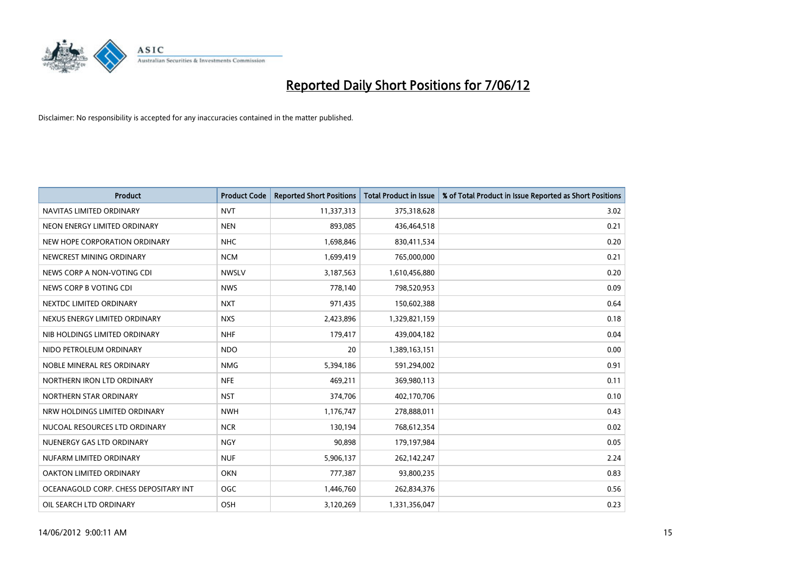

| <b>Product</b>                        | <b>Product Code</b> | <b>Reported Short Positions</b> | <b>Total Product in Issue</b> | % of Total Product in Issue Reported as Short Positions |
|---------------------------------------|---------------------|---------------------------------|-------------------------------|---------------------------------------------------------|
| NAVITAS LIMITED ORDINARY              | <b>NVT</b>          | 11,337,313                      | 375,318,628                   | 3.02                                                    |
| NEON ENERGY LIMITED ORDINARY          | <b>NEN</b>          | 893,085                         | 436,464,518                   | 0.21                                                    |
| NEW HOPE CORPORATION ORDINARY         | <b>NHC</b>          | 1,698,846                       | 830,411,534                   | 0.20                                                    |
| NEWCREST MINING ORDINARY              | <b>NCM</b>          | 1,699,419                       | 765,000,000                   | 0.21                                                    |
| NEWS CORP A NON-VOTING CDI            | <b>NWSLV</b>        | 3,187,563                       | 1,610,456,880                 | 0.20                                                    |
| NEWS CORP B VOTING CDI                | <b>NWS</b>          | 778,140                         | 798,520,953                   | 0.09                                                    |
| NEXTDC LIMITED ORDINARY               | <b>NXT</b>          | 971,435                         | 150,602,388                   | 0.64                                                    |
| NEXUS ENERGY LIMITED ORDINARY         | <b>NXS</b>          | 2,423,896                       | 1,329,821,159                 | 0.18                                                    |
| NIB HOLDINGS LIMITED ORDINARY         | <b>NHF</b>          | 179,417                         | 439,004,182                   | 0.04                                                    |
| NIDO PETROLEUM ORDINARY               | <b>NDO</b>          | 20                              | 1,389,163,151                 | 0.00                                                    |
| NOBLE MINERAL RES ORDINARY            | <b>NMG</b>          | 5,394,186                       | 591,294,002                   | 0.91                                                    |
| NORTHERN IRON LTD ORDINARY            | <b>NFE</b>          | 469,211                         | 369,980,113                   | 0.11                                                    |
| NORTHERN STAR ORDINARY                | <b>NST</b>          | 374,706                         | 402,170,706                   | 0.10                                                    |
| NRW HOLDINGS LIMITED ORDINARY         | <b>NWH</b>          | 1,176,747                       | 278,888,011                   | 0.43                                                    |
| NUCOAL RESOURCES LTD ORDINARY         | <b>NCR</b>          | 130,194                         | 768,612,354                   | 0.02                                                    |
| NUENERGY GAS LTD ORDINARY             | <b>NGY</b>          | 90,898                          | 179,197,984                   | 0.05                                                    |
| NUFARM LIMITED ORDINARY               | <b>NUF</b>          | 5,906,137                       | 262,142,247                   | 2.24                                                    |
| OAKTON LIMITED ORDINARY               | <b>OKN</b>          | 777,387                         | 93,800,235                    | 0.83                                                    |
| OCEANAGOLD CORP. CHESS DEPOSITARY INT | <b>OGC</b>          | 1,446,760                       | 262,834,376                   | 0.56                                                    |
| OIL SEARCH LTD ORDINARY               | OSH                 | 3,120,269                       | 1,331,356,047                 | 0.23                                                    |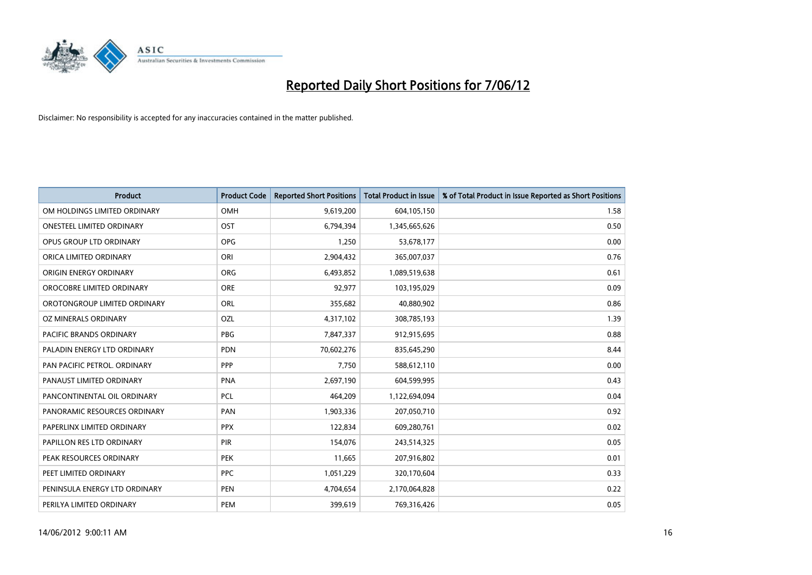

| <b>Product</b>                 | <b>Product Code</b> | <b>Reported Short Positions</b> | <b>Total Product in Issue</b> | % of Total Product in Issue Reported as Short Positions |
|--------------------------------|---------------------|---------------------------------|-------------------------------|---------------------------------------------------------|
| OM HOLDINGS LIMITED ORDINARY   | <b>OMH</b>          | 9,619,200                       | 604,105,150                   | 1.58                                                    |
| ONESTEEL LIMITED ORDINARY      | OST                 | 6,794,394                       | 1,345,665,626                 | 0.50                                                    |
| OPUS GROUP LTD ORDINARY        | <b>OPG</b>          | 1,250                           | 53,678,177                    | 0.00                                                    |
| ORICA LIMITED ORDINARY         | ORI                 | 2,904,432                       | 365,007,037                   | 0.76                                                    |
| ORIGIN ENERGY ORDINARY         | <b>ORG</b>          | 6,493,852                       | 1,089,519,638                 | 0.61                                                    |
| OROCOBRE LIMITED ORDINARY      | ORE                 | 92,977                          | 103,195,029                   | 0.09                                                    |
| OROTONGROUP LIMITED ORDINARY   | ORL                 | 355,682                         | 40,880,902                    | 0.86                                                    |
| OZ MINERALS ORDINARY           | OZL                 | 4,317,102                       | 308,785,193                   | 1.39                                                    |
| <b>PACIFIC BRANDS ORDINARY</b> | <b>PBG</b>          | 7,847,337                       | 912,915,695                   | 0.88                                                    |
| PALADIN ENERGY LTD ORDINARY    | <b>PDN</b>          | 70,602,276                      | 835,645,290                   | 8.44                                                    |
| PAN PACIFIC PETROL. ORDINARY   | PPP                 | 7,750                           | 588,612,110                   | 0.00                                                    |
| PANAUST LIMITED ORDINARY       | <b>PNA</b>          | 2,697,190                       | 604,599,995                   | 0.43                                                    |
| PANCONTINENTAL OIL ORDINARY    | <b>PCL</b>          | 464,209                         | 1,122,694,094                 | 0.04                                                    |
| PANORAMIC RESOURCES ORDINARY   | <b>PAN</b>          | 1,903,336                       | 207,050,710                   | 0.92                                                    |
| PAPERLINX LIMITED ORDINARY     | <b>PPX</b>          | 122,834                         | 609,280,761                   | 0.02                                                    |
| PAPILLON RES LTD ORDINARY      | PIR                 | 154,076                         | 243,514,325                   | 0.05                                                    |
| PEAK RESOURCES ORDINARY        | <b>PEK</b>          | 11,665                          | 207,916,802                   | 0.01                                                    |
| PEET LIMITED ORDINARY          | <b>PPC</b>          | 1,051,229                       | 320,170,604                   | 0.33                                                    |
| PENINSULA ENERGY LTD ORDINARY  | <b>PEN</b>          | 4,704,654                       | 2,170,064,828                 | 0.22                                                    |
| PERILYA LIMITED ORDINARY       | PEM                 | 399,619                         | 769,316,426                   | 0.05                                                    |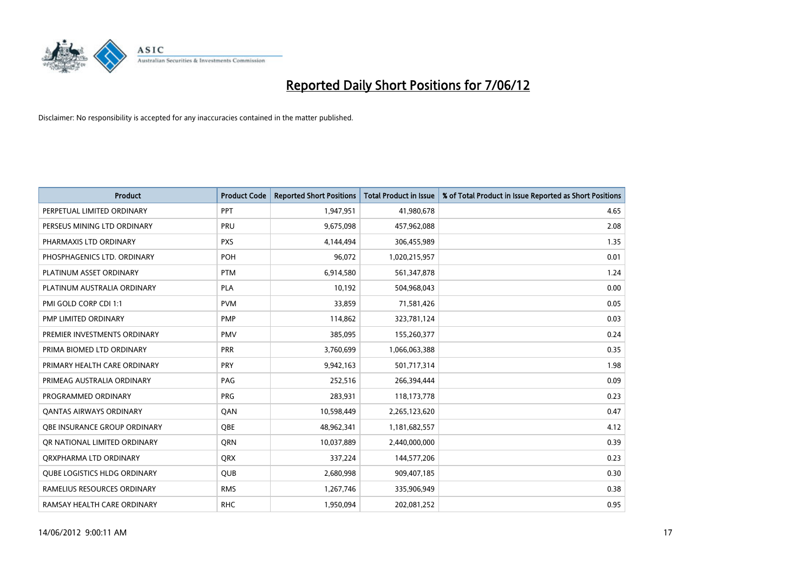

| <b>Product</b>                      | <b>Product Code</b> | <b>Reported Short Positions</b> | <b>Total Product in Issue</b> | % of Total Product in Issue Reported as Short Positions |
|-------------------------------------|---------------------|---------------------------------|-------------------------------|---------------------------------------------------------|
| PERPETUAL LIMITED ORDINARY          | PPT                 | 1,947,951                       | 41,980,678                    | 4.65                                                    |
| PERSEUS MINING LTD ORDINARY         | PRU                 | 9,675,098                       | 457,962,088                   | 2.08                                                    |
| PHARMAXIS LTD ORDINARY              | <b>PXS</b>          | 4,144,494                       | 306,455,989                   | 1.35                                                    |
| PHOSPHAGENICS LTD. ORDINARY         | <b>POH</b>          | 96,072                          | 1,020,215,957                 | 0.01                                                    |
| PLATINUM ASSET ORDINARY             | <b>PTM</b>          | 6,914,580                       | 561,347,878                   | 1.24                                                    |
| PLATINUM AUSTRALIA ORDINARY         | <b>PLA</b>          | 10,192                          | 504,968,043                   | 0.00                                                    |
| PMI GOLD CORP CDI 1:1               | <b>PVM</b>          | 33,859                          | 71,581,426                    | 0.05                                                    |
| PMP LIMITED ORDINARY                | <b>PMP</b>          | 114,862                         | 323,781,124                   | 0.03                                                    |
| PREMIER INVESTMENTS ORDINARY        | <b>PMV</b>          | 385,095                         | 155,260,377                   | 0.24                                                    |
| PRIMA BIOMED LTD ORDINARY           | <b>PRR</b>          | 3,760,699                       | 1,066,063,388                 | 0.35                                                    |
| PRIMARY HEALTH CARE ORDINARY        | <b>PRY</b>          | 9,942,163                       | 501,717,314                   | 1.98                                                    |
| PRIMEAG AUSTRALIA ORDINARY          | PAG                 | 252,516                         | 266,394,444                   | 0.09                                                    |
| PROGRAMMED ORDINARY                 | <b>PRG</b>          | 283,931                         | 118,173,778                   | 0.23                                                    |
| <b>QANTAS AIRWAYS ORDINARY</b>      | QAN                 | 10,598,449                      | 2,265,123,620                 | 0.47                                                    |
| OBE INSURANCE GROUP ORDINARY        | <b>OBE</b>          | 48,962,341                      | 1,181,682,557                 | 4.12                                                    |
| OR NATIONAL LIMITED ORDINARY        | <b>ORN</b>          | 10,037,889                      | 2,440,000,000                 | 0.39                                                    |
| ORXPHARMA LTD ORDINARY              | <b>ORX</b>          | 337,224                         | 144,577,206                   | 0.23                                                    |
| <b>QUBE LOGISTICS HLDG ORDINARY</b> | QUB                 | 2,680,998                       | 909,407,185                   | 0.30                                                    |
| RAMELIUS RESOURCES ORDINARY         | <b>RMS</b>          | 1,267,746                       | 335,906,949                   | 0.38                                                    |
| RAMSAY HEALTH CARE ORDINARY         | <b>RHC</b>          | 1,950,094                       | 202,081,252                   | 0.95                                                    |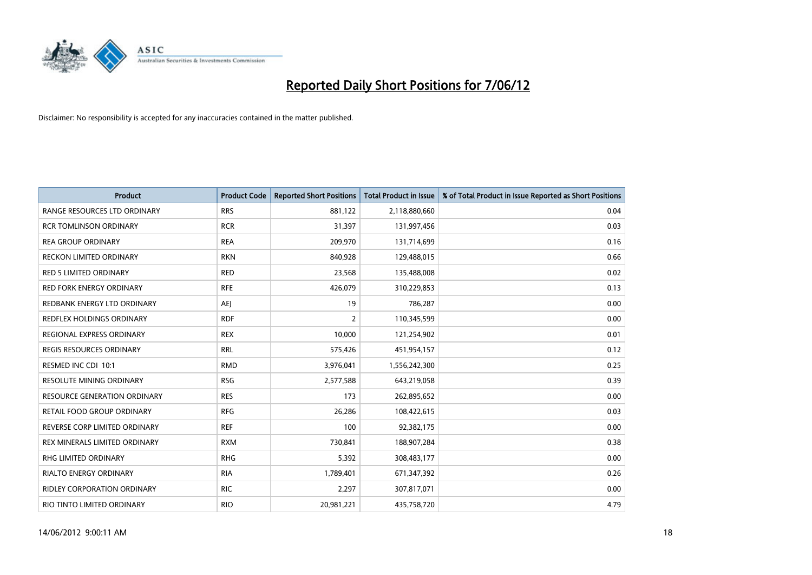

| <b>Product</b>                    | <b>Product Code</b> | <b>Reported Short Positions</b> | <b>Total Product in Issue</b> | % of Total Product in Issue Reported as Short Positions |
|-----------------------------------|---------------------|---------------------------------|-------------------------------|---------------------------------------------------------|
| RANGE RESOURCES LTD ORDINARY      | <b>RRS</b>          | 881,122                         | 2,118,880,660                 | 0.04                                                    |
| <b>RCR TOMLINSON ORDINARY</b>     | <b>RCR</b>          | 31,397                          | 131,997,456                   | 0.03                                                    |
| <b>REA GROUP ORDINARY</b>         | <b>REA</b>          | 209,970                         | 131,714,699                   | 0.16                                                    |
| RECKON LIMITED ORDINARY           | <b>RKN</b>          | 840,928                         | 129,488,015                   | 0.66                                                    |
| <b>RED 5 LIMITED ORDINARY</b>     | <b>RED</b>          | 23,568                          | 135,488,008                   | 0.02                                                    |
| <b>RED FORK ENERGY ORDINARY</b>   | <b>RFE</b>          | 426,079                         | 310,229,853                   | 0.13                                                    |
| REDBANK ENERGY LTD ORDINARY       | AEJ                 | 19                              | 786,287                       | 0.00                                                    |
| REDFLEX HOLDINGS ORDINARY         | <b>RDF</b>          | $\overline{2}$                  | 110,345,599                   | 0.00                                                    |
| REGIONAL EXPRESS ORDINARY         | <b>REX</b>          | 10,000                          | 121,254,902                   | 0.01                                                    |
| <b>REGIS RESOURCES ORDINARY</b>   | <b>RRL</b>          | 575,426                         | 451,954,157                   | 0.12                                                    |
| RESMED INC CDI 10:1               | <b>RMD</b>          | 3,976,041                       | 1,556,242,300                 | 0.25                                                    |
| <b>RESOLUTE MINING ORDINARY</b>   | <b>RSG</b>          | 2,577,588                       | 643,219,058                   | 0.39                                                    |
| RESOURCE GENERATION ORDINARY      | <b>RES</b>          | 173                             | 262,895,652                   | 0.00                                                    |
| <b>RETAIL FOOD GROUP ORDINARY</b> | <b>RFG</b>          | 26,286                          | 108,422,615                   | 0.03                                                    |
| REVERSE CORP LIMITED ORDINARY     | <b>REF</b>          | 100                             | 92,382,175                    | 0.00                                                    |
| REX MINERALS LIMITED ORDINARY     | <b>RXM</b>          | 730,841                         | 188,907,284                   | 0.38                                                    |
| RHG LIMITED ORDINARY              | <b>RHG</b>          | 5,392                           | 308,483,177                   | 0.00                                                    |
| <b>RIALTO ENERGY ORDINARY</b>     | <b>RIA</b>          | 1,789,401                       | 671,347,392                   | 0.26                                                    |
| RIDLEY CORPORATION ORDINARY       | <b>RIC</b>          | 2,297                           | 307,817,071                   | 0.00                                                    |
| RIO TINTO LIMITED ORDINARY        | <b>RIO</b>          | 20,981,221                      | 435,758,720                   | 4.79                                                    |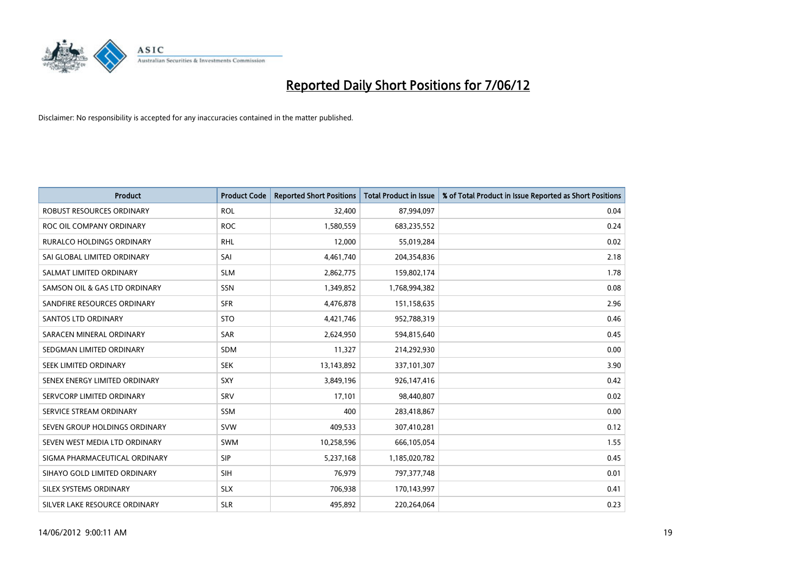

| <b>Product</b>                   | <b>Product Code</b> | <b>Reported Short Positions</b> | <b>Total Product in Issue</b> | % of Total Product in Issue Reported as Short Positions |
|----------------------------------|---------------------|---------------------------------|-------------------------------|---------------------------------------------------------|
| <b>ROBUST RESOURCES ORDINARY</b> | <b>ROL</b>          | 32,400                          | 87,994,097                    | 0.04                                                    |
| ROC OIL COMPANY ORDINARY         | <b>ROC</b>          | 1,580,559                       | 683,235,552                   | 0.24                                                    |
| <b>RURALCO HOLDINGS ORDINARY</b> | <b>RHL</b>          | 12,000                          | 55,019,284                    | 0.02                                                    |
| SAI GLOBAL LIMITED ORDINARY      | SAI                 | 4,461,740                       | 204,354,836                   | 2.18                                                    |
| SALMAT LIMITED ORDINARY          | <b>SLM</b>          | 2,862,775                       | 159,802,174                   | 1.78                                                    |
| SAMSON OIL & GAS LTD ORDINARY    | SSN                 | 1,349,852                       | 1,768,994,382                 | 0.08                                                    |
| SANDFIRE RESOURCES ORDINARY      | <b>SFR</b>          | 4,476,878                       | 151,158,635                   | 2.96                                                    |
| SANTOS LTD ORDINARY              | <b>STO</b>          | 4,421,746                       | 952,788,319                   | 0.46                                                    |
| SARACEN MINERAL ORDINARY         | SAR                 | 2,624,950                       | 594,815,640                   | 0.45                                                    |
| SEDGMAN LIMITED ORDINARY         | <b>SDM</b>          | 11,327                          | 214,292,930                   | 0.00                                                    |
| SEEK LIMITED ORDINARY            | <b>SEK</b>          | 13,143,892                      | 337,101,307                   | 3.90                                                    |
| SENEX ENERGY LIMITED ORDINARY    | <b>SXY</b>          | 3,849,196                       | 926,147,416                   | 0.42                                                    |
| SERVCORP LIMITED ORDINARY        | SRV                 | 17,101                          | 98,440,807                    | 0.02                                                    |
| SERVICE STREAM ORDINARY          | SSM                 | 400                             | 283,418,867                   | 0.00                                                    |
| SEVEN GROUP HOLDINGS ORDINARY    | <b>SVW</b>          | 409,533                         | 307,410,281                   | 0.12                                                    |
| SEVEN WEST MEDIA LTD ORDINARY    | SWM                 | 10,258,596                      | 666,105,054                   | 1.55                                                    |
| SIGMA PHARMACEUTICAL ORDINARY    | <b>SIP</b>          | 5,237,168                       | 1,185,020,782                 | 0.45                                                    |
| SIHAYO GOLD LIMITED ORDINARY     | SIH                 | 76,979                          | 797,377,748                   | 0.01                                                    |
| SILEX SYSTEMS ORDINARY           | <b>SLX</b>          | 706,938                         | 170,143,997                   | 0.41                                                    |
| SILVER LAKE RESOURCE ORDINARY    | <b>SLR</b>          | 495,892                         | 220,264,064                   | 0.23                                                    |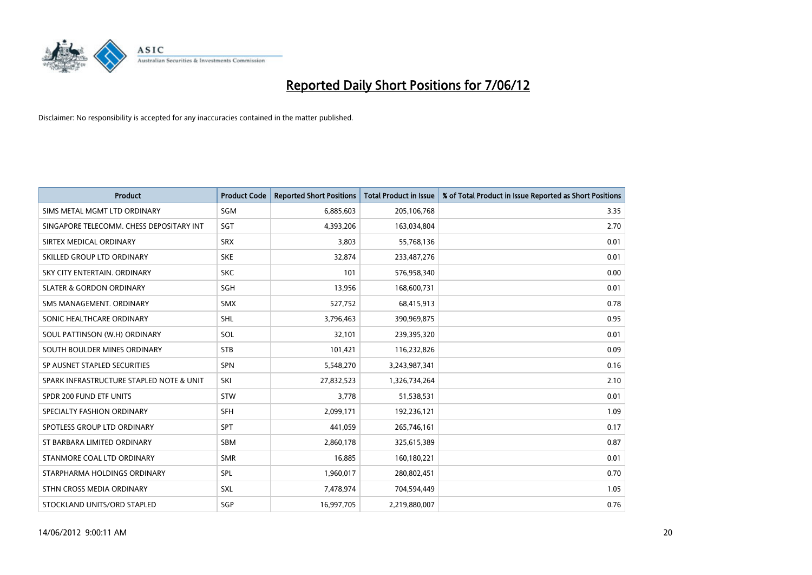

| <b>Product</b>                           | <b>Product Code</b> | <b>Reported Short Positions</b> | <b>Total Product in Issue</b> | % of Total Product in Issue Reported as Short Positions |
|------------------------------------------|---------------------|---------------------------------|-------------------------------|---------------------------------------------------------|
| SIMS METAL MGMT LTD ORDINARY             | SGM                 | 6,885,603                       | 205,106,768                   | 3.35                                                    |
| SINGAPORE TELECOMM. CHESS DEPOSITARY INT | <b>SGT</b>          | 4,393,206                       | 163,034,804                   | 2.70                                                    |
| SIRTEX MEDICAL ORDINARY                  | <b>SRX</b>          | 3,803                           | 55,768,136                    | 0.01                                                    |
| SKILLED GROUP LTD ORDINARY               | <b>SKE</b>          | 32,874                          | 233,487,276                   | 0.01                                                    |
| SKY CITY ENTERTAIN, ORDINARY             | <b>SKC</b>          | 101                             | 576,958,340                   | 0.00                                                    |
| <b>SLATER &amp; GORDON ORDINARY</b>      | <b>SGH</b>          | 13,956                          | 168,600,731                   | 0.01                                                    |
| SMS MANAGEMENT, ORDINARY                 | <b>SMX</b>          | 527,752                         | 68,415,913                    | 0.78                                                    |
| SONIC HEALTHCARE ORDINARY                | <b>SHL</b>          | 3,796,463                       | 390,969,875                   | 0.95                                                    |
| SOUL PATTINSON (W.H) ORDINARY            | SOL                 | 32,101                          | 239,395,320                   | 0.01                                                    |
| SOUTH BOULDER MINES ORDINARY             | <b>STB</b>          | 101,421                         | 116,232,826                   | 0.09                                                    |
| SP AUSNET STAPLED SECURITIES             | <b>SPN</b>          | 5,548,270                       | 3,243,987,341                 | 0.16                                                    |
| SPARK INFRASTRUCTURE STAPLED NOTE & UNIT | SKI                 | 27,832,523                      | 1,326,734,264                 | 2.10                                                    |
| SPDR 200 FUND ETF UNITS                  | <b>STW</b>          | 3,778                           | 51,538,531                    | 0.01                                                    |
| SPECIALTY FASHION ORDINARY               | SFH                 | 2,099,171                       | 192,236,121                   | 1.09                                                    |
| SPOTLESS GROUP LTD ORDINARY              | <b>SPT</b>          | 441,059                         | 265,746,161                   | 0.17                                                    |
| ST BARBARA LIMITED ORDINARY              | <b>SBM</b>          | 2,860,178                       | 325,615,389                   | 0.87                                                    |
| STANMORE COAL LTD ORDINARY               | <b>SMR</b>          | 16,885                          | 160,180,221                   | 0.01                                                    |
| STARPHARMA HOLDINGS ORDINARY             | <b>SPL</b>          | 1,960,017                       | 280,802,451                   | 0.70                                                    |
| STHN CROSS MEDIA ORDINARY                | SXL                 | 7,478,974                       | 704,594,449                   | 1.05                                                    |
| STOCKLAND UNITS/ORD STAPLED              | SGP                 | 16,997,705                      | 2,219,880,007                 | 0.76                                                    |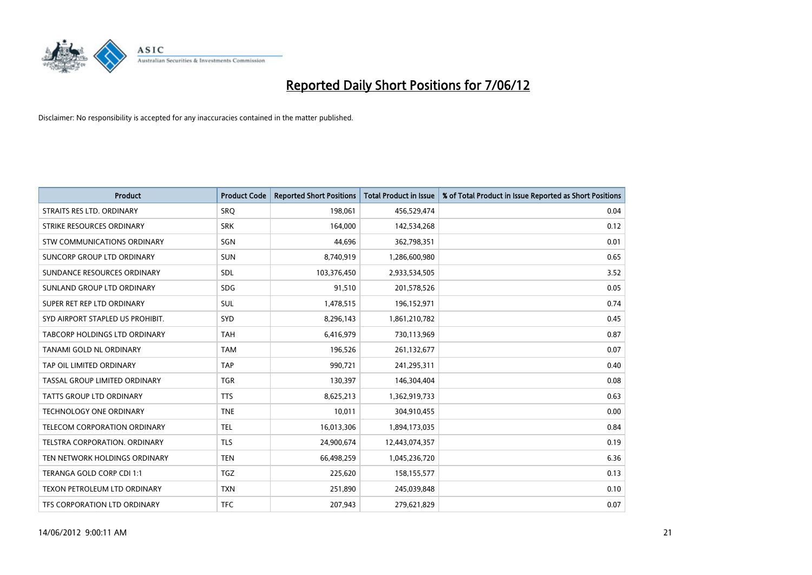

| <b>Product</b>                   | <b>Product Code</b> | <b>Reported Short Positions</b> | <b>Total Product in Issue</b> | % of Total Product in Issue Reported as Short Positions |
|----------------------------------|---------------------|---------------------------------|-------------------------------|---------------------------------------------------------|
| STRAITS RES LTD. ORDINARY        | <b>SRO</b>          | 198,061                         | 456,529,474                   | 0.04                                                    |
| STRIKE RESOURCES ORDINARY        | <b>SRK</b>          | 164,000                         | 142,534,268                   | 0.12                                                    |
| STW COMMUNICATIONS ORDINARY      | SGN                 | 44,696                          | 362,798,351                   | 0.01                                                    |
| SUNCORP GROUP LTD ORDINARY       | <b>SUN</b>          | 8,740,919                       | 1,286,600,980                 | 0.65                                                    |
| SUNDANCE RESOURCES ORDINARY      | SDL                 | 103,376,450                     | 2,933,534,505                 | 3.52                                                    |
| SUNLAND GROUP LTD ORDINARY       | <b>SDG</b>          | 91,510                          | 201,578,526                   | 0.05                                                    |
| SUPER RET REP LTD ORDINARY       | SUL                 | 1,478,515                       | 196,152,971                   | 0.74                                                    |
| SYD AIRPORT STAPLED US PROHIBIT. | SYD                 | 8,296,143                       | 1,861,210,782                 | 0.45                                                    |
| TABCORP HOLDINGS LTD ORDINARY    | <b>TAH</b>          | 6,416,979                       | 730,113,969                   | 0.87                                                    |
| <b>TANAMI GOLD NL ORDINARY</b>   | <b>TAM</b>          | 196,526                         | 261,132,677                   | 0.07                                                    |
| TAP OIL LIMITED ORDINARY         | <b>TAP</b>          | 990,721                         | 241,295,311                   | 0.40                                                    |
| TASSAL GROUP LIMITED ORDINARY    | <b>TGR</b>          | 130,397                         | 146,304,404                   | 0.08                                                    |
| TATTS GROUP LTD ORDINARY         | <b>TTS</b>          | 8,625,213                       | 1,362,919,733                 | 0.63                                                    |
| <b>TECHNOLOGY ONE ORDINARY</b>   | <b>TNE</b>          | 10,011                          | 304,910,455                   | 0.00                                                    |
| TELECOM CORPORATION ORDINARY     | <b>TEL</b>          | 16,013,306                      | 1,894,173,035                 | 0.84                                                    |
| TELSTRA CORPORATION. ORDINARY    | <b>TLS</b>          | 24,900,674                      | 12,443,074,357                | 0.19                                                    |
| TEN NETWORK HOLDINGS ORDINARY    | <b>TEN</b>          | 66,498,259                      | 1,045,236,720                 | 6.36                                                    |
| TERANGA GOLD CORP CDI 1:1        | <b>TGZ</b>          | 225,620                         | 158,155,577                   | 0.13                                                    |
| TEXON PETROLEUM LTD ORDINARY     | <b>TXN</b>          | 251,890                         | 245,039,848                   | 0.10                                                    |
| TFS CORPORATION LTD ORDINARY     | <b>TFC</b>          | 207,943                         | 279,621,829                   | 0.07                                                    |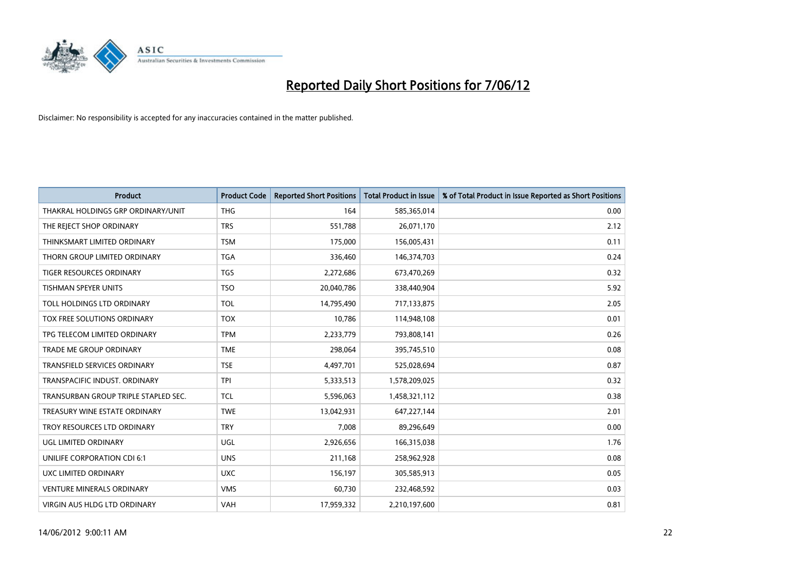

| <b>Product</b>                       | <b>Product Code</b> | <b>Reported Short Positions</b> | <b>Total Product in Issue</b> | % of Total Product in Issue Reported as Short Positions |
|--------------------------------------|---------------------|---------------------------------|-------------------------------|---------------------------------------------------------|
| THAKRAL HOLDINGS GRP ORDINARY/UNIT   | <b>THG</b>          | 164                             | 585,365,014                   | 0.00                                                    |
| THE REJECT SHOP ORDINARY             | <b>TRS</b>          | 551,788                         | 26,071,170                    | 2.12                                                    |
| THINKSMART LIMITED ORDINARY          | <b>TSM</b>          | 175,000                         | 156,005,431                   | 0.11                                                    |
| THORN GROUP LIMITED ORDINARY         | <b>TGA</b>          | 336,460                         | 146,374,703                   | 0.24                                                    |
| <b>TIGER RESOURCES ORDINARY</b>      | <b>TGS</b>          | 2,272,686                       | 673,470,269                   | 0.32                                                    |
| <b>TISHMAN SPEYER UNITS</b>          | <b>TSO</b>          | 20,040,786                      | 338,440,904                   | 5.92                                                    |
| TOLL HOLDINGS LTD ORDINARY           | <b>TOL</b>          | 14,795,490                      | 717,133,875                   | 2.05                                                    |
| TOX FREE SOLUTIONS ORDINARY          | <b>TOX</b>          | 10,786                          | 114,948,108                   | 0.01                                                    |
| TPG TELECOM LIMITED ORDINARY         | <b>TPM</b>          | 2,233,779                       | 793,808,141                   | 0.26                                                    |
| <b>TRADE ME GROUP ORDINARY</b>       | <b>TME</b>          | 298,064                         | 395,745,510                   | 0.08                                                    |
| TRANSFIELD SERVICES ORDINARY         | <b>TSE</b>          | 4,497,701                       | 525,028,694                   | 0.87                                                    |
| TRANSPACIFIC INDUST. ORDINARY        | <b>TPI</b>          | 5,333,513                       | 1,578,209,025                 | 0.32                                                    |
| TRANSURBAN GROUP TRIPLE STAPLED SEC. | <b>TCL</b>          | 5,596,063                       | 1,458,321,112                 | 0.38                                                    |
| TREASURY WINE ESTATE ORDINARY        | <b>TWE</b>          | 13,042,931                      | 647,227,144                   | 2.01                                                    |
| TROY RESOURCES LTD ORDINARY          | <b>TRY</b>          | 7,008                           | 89,296,649                    | 0.00                                                    |
| UGL LIMITED ORDINARY                 | UGL                 | 2,926,656                       | 166,315,038                   | 1.76                                                    |
| UNILIFE CORPORATION CDI 6:1          | <b>UNS</b>          | 211,168                         | 258,962,928                   | 0.08                                                    |
| UXC LIMITED ORDINARY                 | <b>UXC</b>          | 156,197                         | 305,585,913                   | 0.05                                                    |
| <b>VENTURE MINERALS ORDINARY</b>     | <b>VMS</b>          | 60,730                          | 232,468,592                   | 0.03                                                    |
| VIRGIN AUS HLDG LTD ORDINARY         | VAH                 | 17,959,332                      | 2,210,197,600                 | 0.81                                                    |